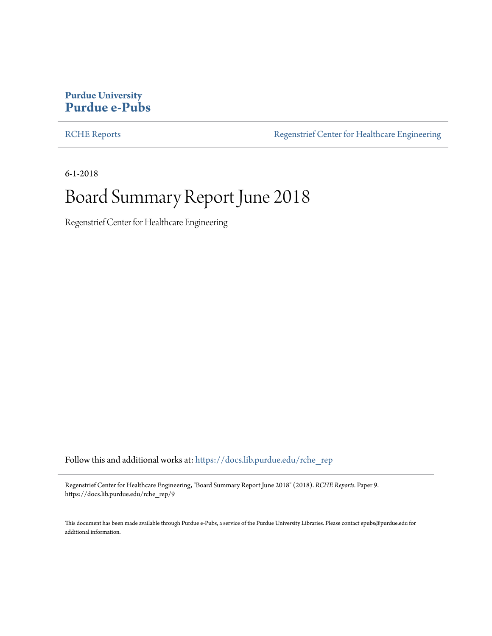#### **Purdue University [Purdue e-Pubs](https://docs.lib.purdue.edu/?utm_source=docs.lib.purdue.edu%2Frche_rep%2F9&utm_medium=PDF&utm_campaign=PDFCoverPages)**

[RCHE Reports](https://docs.lib.purdue.edu/rche_rep?utm_source=docs.lib.purdue.edu%2Frche_rep%2F9&utm_medium=PDF&utm_campaign=PDFCoverPages) **[Regenstrief Center for Healthcare Engineering](https://docs.lib.purdue.edu/rche?utm_source=docs.lib.purdue.edu%2Frche_rep%2F9&utm_medium=PDF&utm_campaign=PDFCoverPages)** 

6-1-2018

### Board Summary Report June 2018

Regenstrief Center for Healthcare Engineering

Follow this and additional works at: [https://docs.lib.purdue.edu/rche\\_rep](https://docs.lib.purdue.edu/rche_rep?utm_source=docs.lib.purdue.edu%2Frche_rep%2F9&utm_medium=PDF&utm_campaign=PDFCoverPages)

Regenstrief Center for Healthcare Engineering, "Board Summary Report June 2018" (2018). *RCHE Reports.* Paper 9. https://docs.lib.purdue.edu/rche\_rep/9

This document has been made available through Purdue e-Pubs, a service of the Purdue University Libraries. Please contact epubs@purdue.edu for additional information.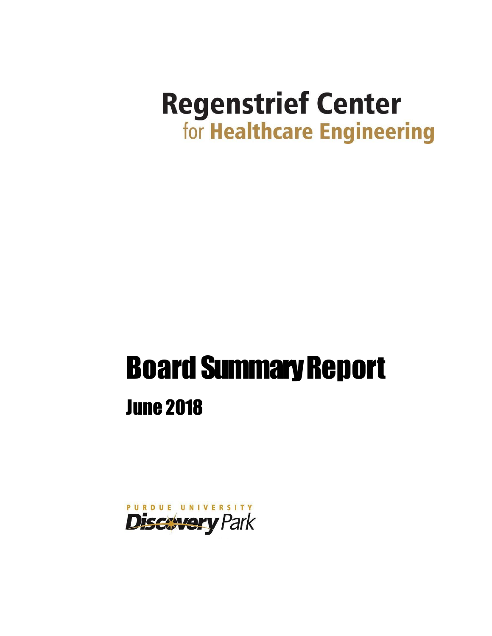## **Regenstrief Center** for Healthcare Engineering

# **Board Summary Report** June 2018

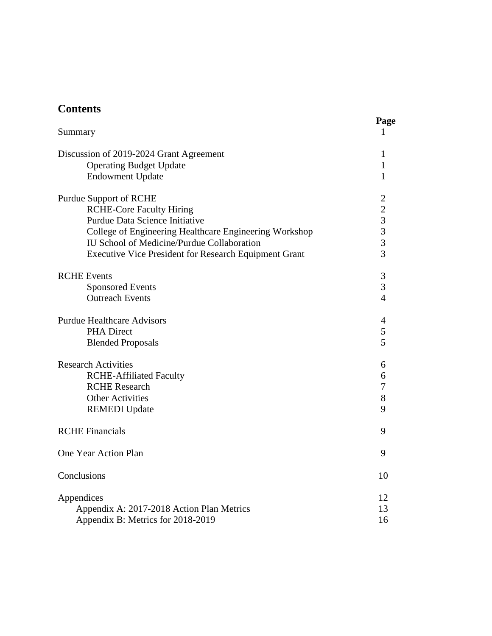| Summary                                                      | Page<br>1      |
|--------------------------------------------------------------|----------------|
| Discussion of 2019-2024 Grant Agreement                      | 1              |
| <b>Operating Budget Update</b>                               | 1              |
| <b>Endowment Update</b>                                      | 1              |
| <b>Purdue Support of RCHE</b>                                | $\overline{2}$ |
| <b>RCHE-Core Faculty Hiring</b>                              | $\overline{c}$ |
| Purdue Data Science Initiative                               | $\overline{3}$ |
| College of Engineering Healthcare Engineering Workshop       | $\overline{3}$ |
| IU School of Medicine/Purdue Collaboration                   | $\overline{3}$ |
| <b>Executive Vice President for Research Equipment Grant</b> | $\overline{3}$ |
| <b>RCHE</b> Events                                           | 3              |
| <b>Sponsored Events</b>                                      | $\overline{3}$ |
| <b>Outreach Events</b>                                       | $\overline{4}$ |
| <b>Purdue Healthcare Advisors</b>                            | $\overline{4}$ |
| <b>PHA Direct</b>                                            | 5              |
| <b>Blended Proposals</b>                                     | 5              |
| <b>Research Activities</b>                                   | 6              |
| <b>RCHE-Affiliated Faculty</b>                               | 6              |
| <b>RCHE</b> Research                                         | $\overline{7}$ |
| <b>Other Activities</b>                                      | 8              |
| <b>REMEDI</b> Update                                         | 9              |
| <b>RCHE Financials</b>                                       | 9              |
| One Year Action Plan                                         | 9              |
| Conclusions                                                  | 10             |
| Appendices                                                   | 12             |
| Appendix A: 2017-2018 Action Plan Metrics                    | 13             |
| Appendix B: Metrics for 2018-2019                            | 16             |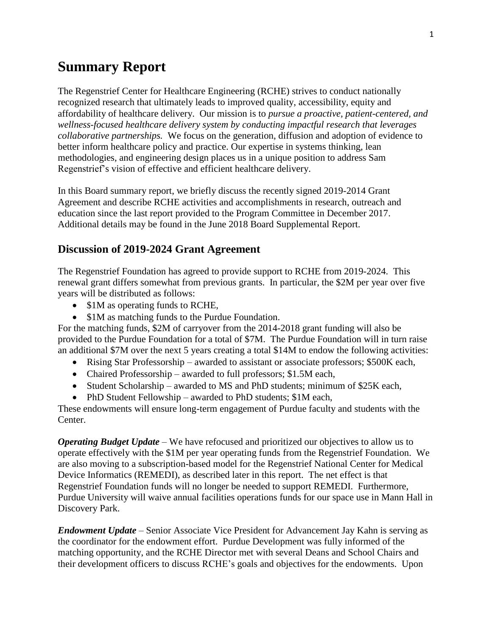#### **Summary Report**

The Regenstrief Center for Healthcare Engineering (RCHE) strives to conduct nationally recognized research that ultimately leads to improved quality, accessibility, equity and affordability of healthcare delivery. Our mission is to *pursue a proactive, patient-centered, and wellness-focused healthcare delivery system by conducting impactful research that leverages collaborative partnerships.* We focus on the generation, diffusion and adoption of evidence to better inform healthcare policy and practice. Our expertise in systems thinking, lean methodologies, and engineering design places us in a unique position to address Sam Regenstrief's vision of effective and efficient healthcare delivery.

In this Board summary report, we briefly discuss the recently signed 2019-2014 Grant Agreement and describe RCHE activities and accomplishments in research, outreach and education since the last report provided to the Program Committee in December 2017. Additional details may be found in the June 2018 Board Supplemental Report.

#### **Discussion of 2019-2024 Grant Agreement**

The Regenstrief Foundation has agreed to provide support to RCHE from 2019-2024. This renewal grant differs somewhat from previous grants. In particular, the \$2M per year over five years will be distributed as follows:

- \$1M as operating funds to RCHE,
- \$1M as matching funds to the Purdue Foundation.

For the matching funds, \$2M of carryover from the 2014-2018 grant funding will also be provided to the Purdue Foundation for a total of \$7M. The Purdue Foundation will in turn raise an additional \$7M over the next 5 years creating a total \$14M to endow the following activities:

- Rising Star Professorship awarded to assistant or associate professors; \$500K each,
- Chaired Professorship awarded to full professors; \$1.5M each,
- Student Scholarship awarded to MS and PhD students; minimum of \$25K each,
- PhD Student Fellowship awarded to PhD students; \$1M each,

These endowments will ensure long-term engagement of Purdue faculty and students with the Center.

*Operating Budget Update* – We have refocused and prioritized our objectives to allow us to operate effectively with the \$1M per year operating funds from the Regenstrief Foundation. We are also moving to a subscription-based model for the Regenstrief National Center for Medical Device Informatics (REMEDI), as described later in this report. The net effect is that Regenstrief Foundation funds will no longer be needed to support REMEDI. Furthermore, Purdue University will waive annual facilities operations funds for our space use in Mann Hall in Discovery Park.

*Endowment Update* – Senior Associate Vice President for Advancement Jay Kahn is serving as the coordinator for the endowment effort. Purdue Development was fully informed of the matching opportunity, and the RCHE Director met with several Deans and School Chairs and their development officers to discuss RCHE's goals and objectives for the endowments. Upon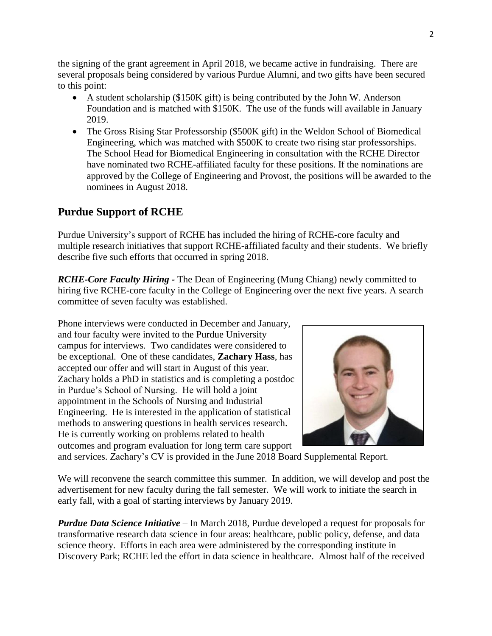the signing of the grant agreement in April 2018, we became active in fundraising. There are several proposals being considered by various Purdue Alumni, and two gifts have been secured to this point:

- A student scholarship (\$150K gift) is being contributed by the John W. Anderson Foundation and is matched with \$150K. The use of the funds will available in January 2019.
- The Gross Rising Star Professorship (\$500K gift) in the Weldon School of Biomedical Engineering, which was matched with \$500K to create two rising star professorships. The School Head for Biomedical Engineering in consultation with the RCHE Director have nominated two RCHE-affiliated faculty for these positions. If the nominations are approved by the College of Engineering and Provost, the positions will be awarded to the nominees in August 2018.

#### **Purdue Support of RCHE**

Purdue University's support of RCHE has included the hiring of RCHE-core faculty and multiple research initiatives that support RCHE-affiliated faculty and their students. We briefly describe five such efforts that occurred in spring 2018.

*RCHE-Core Faculty Hiring* - The Dean of Engineering (Mung Chiang) newly committed to hiring five RCHE-core faculty in the College of Engineering over the next five years. A search committee of seven faculty was established.

Phone interviews were conducted in December and January, and four faculty were invited to the Purdue University campus for interviews. Two candidates were considered to be exceptional. One of these candidates, **Zachary Hass**, has accepted our offer and will start in August of this year. Zachary holds a PhD in statistics and is completing a postdoc in Purdue's School of Nursing. He will hold a joint appointment in the Schools of Nursing and Industrial Engineering. He is interested in the application of statistical methods to answering questions in health services research. He is currently working on problems related to health outcomes and program evaluation for long term care support



and services. Zachary's CV is provided in the June 2018 Board Supplemental Report.

We will reconvene the search committee this summer. In addition, we will develop and post the advertisement for new faculty during the fall semester. We will work to initiate the search in early fall, with a goal of starting interviews by January 2019.

*Purdue Data Science Initiative* – In March 2018, Purdue developed a request for proposals for transformative research data science in four areas: healthcare, public policy, defense, and data science theory. Efforts in each area were administered by the corresponding institute in Discovery Park; RCHE led the effort in data science in healthcare. Almost half of the received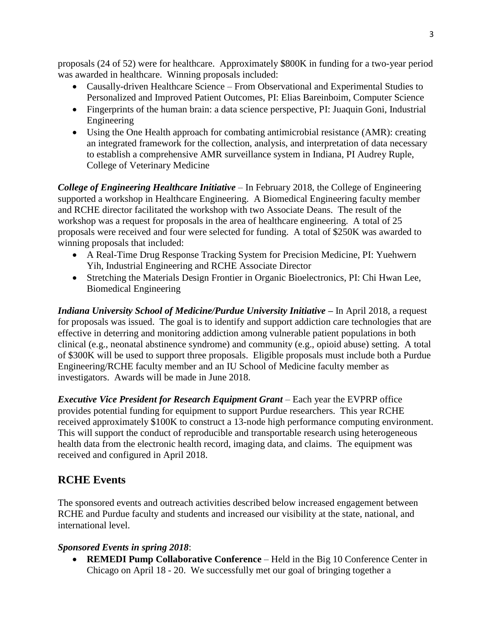proposals (24 of 52) were for healthcare. Approximately \$800K in funding for a two-year period was awarded in healthcare. Winning proposals included:

- Causally-driven Healthcare Science From Observational and Experimental Studies to Personalized and Improved Patient Outcomes, PI: Elias Bareinboim, Computer Science
- Fingerprints of the human brain: a data science perspective, PI: Juaquin Goni, Industrial Engineering
- Using the One Health approach for combating antimicrobial resistance (AMR): creating an integrated framework for the collection, analysis, and interpretation of data necessary to establish a comprehensive AMR surveillance system in Indiana, PI Audrey Ruple, College of Veterinary Medicine

*College of Engineering Healthcare Initiative* – In February 2018, the College of Engineering supported a workshop in Healthcare Engineering. A Biomedical Engineering faculty member and RCHE director facilitated the workshop with two Associate Deans. The result of the workshop was a request for proposals in the area of healthcare engineering. A total of 25 proposals were received and four were selected for funding. A total of \$250K was awarded to winning proposals that included:

- A Real-Time Drug Response Tracking System for Precision Medicine, PI: Yuehwern Yih, Industrial Engineering and RCHE Associate Director
- Stretching the Materials Design Frontier in Organic Bioelectronics, PI: Chi Hwan Lee, Biomedical Engineering

*Indiana University School of Medicine/Purdue University Initiative –* In April 2018, a request for proposals was issued. The goal is to identify and support addiction care technologies that are effective in deterring and monitoring addiction among vulnerable patient populations in both clinical (e.g., neonatal abstinence syndrome) and community (e.g., opioid abuse) setting. A total of \$300K will be used to support three proposals. Eligible proposals must include both a Purdue Engineering/RCHE faculty member and an IU School of Medicine faculty member as investigators. Awards will be made in June 2018.

*Executive Vice President for Research Equipment Grant* – Each year the EVPRP office provides potential funding for equipment to support Purdue researchers. This year RCHE received approximately \$100K to construct a 13-node high performance computing environment. This will support the conduct of reproducible and transportable research using heterogeneous health data from the electronic health record, imaging data, and claims. The equipment was received and configured in April 2018.

#### **RCHE Events**

The sponsored events and outreach activities described below increased engagement between RCHE and Purdue faculty and students and increased our visibility at the state, national, and international level.

#### *Sponsored Events in spring 2018*:

• **REMEDI Pump Collaborative Conference** – Held in the Big 10 Conference Center in Chicago on April 18 - 20. We successfully met our goal of bringing together a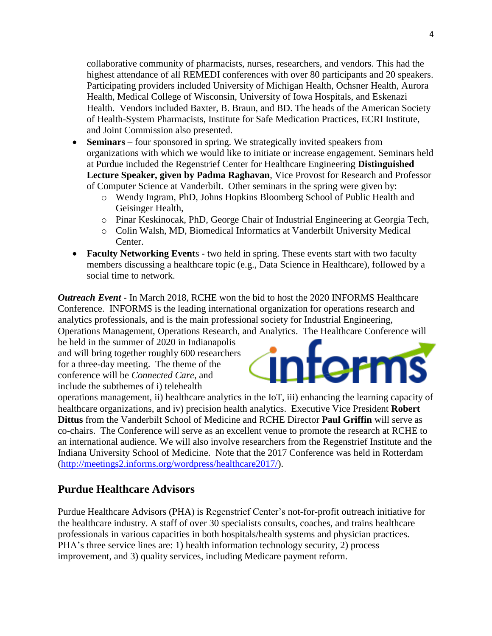collaborative community of pharmacists, nurses, researchers, and vendors. This had the highest attendance of all REMEDI conferences with over 80 participants and 20 speakers. Participating providers included University of Michigan Health, Ochsner Health, Aurora Health, Medical College of Wisconsin, University of Iowa Hospitals, and Eskenazi Health. Vendors included Baxter, B. Braun, and BD. The heads of the American Society of Health-System Pharmacists, Institute for Safe Medication Practices, ECRI Institute, and Joint Commission also presented.

- **Seminars** four sponsored in spring. We strategically invited speakers from organizations with which we would like to initiate or increase engagement. Seminars held at Purdue included the Regenstrief Center for Healthcare Engineering **Distinguished Lecture Speaker, given by Padma Raghavan**, Vice Provost for Research and Professor of Computer Science at Vanderbilt. Other seminars in the spring were given by:
	- o Wendy Ingram, PhD, Johns Hopkins Bloomberg School of Public Health and Geisinger Health,
	- o Pinar Keskinocak, PhD, George Chair of Industrial Engineering at Georgia Tech,
	- o Colin Walsh, MD, Biomedical Informatics at Vanderbilt University Medical Center.
- **Faculty Networking Event**  $s$  two held in spring. These events start with two faculty members discussing a healthcare topic (e.g., Data Science in Healthcare), followed by a social time to network.

*Outreach Event* - In March 2018, RCHE won the bid to host the 2020 INFORMS Healthcare Conference. INFORMS is the leading international organization for operations research and analytics professionals, and is the main professional society for Industrial Engineering, Operations Management, Operations Research, and Analytics. The Healthcare Conference will

be held in the summer of 2020 in Indianapolis and will bring together roughly 600 researchers for a three-day meeting. The theme of the conference will be *Connected Care*, and



operations management, ii) healthcare analytics in the IoT, iii) enhancing the learning capacity of healthcare organizations, and iv) precision health analytics. Executive Vice President **Robert Dittus** from the Vanderbilt School of Medicine and RCHE Director **Paul Griffin** will serve as co-chairs. The Conference will serve as an excellent venue to promote the research at RCHE to an international audience. We will also involve researchers from the Regenstrief Institute and the Indiana University School of Medicine. Note that the 2017 Conference was held in Rotterdam [\(http://meetings2.informs.org/wordpress/healthcare2017/\)](http://meetings2.informs.org/wordpress/healthcare2017/).

#### **Purdue Healthcare Advisors**

include the subthemes of i) telehealth

Purdue Healthcare Advisors (PHA) is Regenstrief Center's not-for-profit outreach initiative for the healthcare industry. A staff of over 30 specialists consults, coaches, and trains healthcare professionals in various capacities in both hospitals/health systems and physician practices. PHA's three service lines are: 1) health information technology security, 2) process improvement, and 3) quality services, including Medicare payment reform.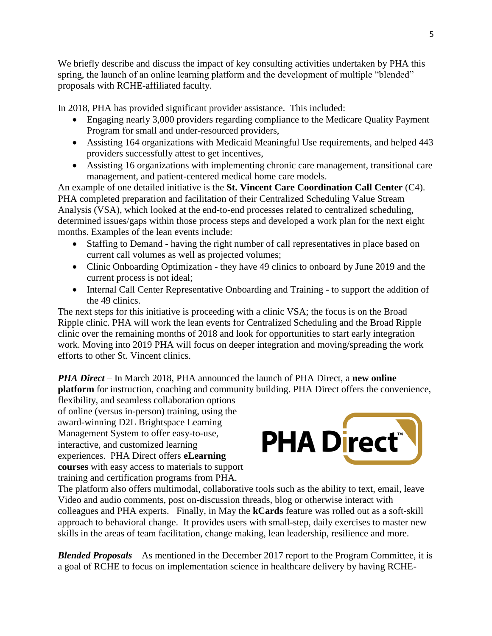We briefly describe and discuss the impact of key consulting activities undertaken by PHA this spring, the launch of an online learning platform and the development of multiple "blended" proposals with RCHE-affiliated faculty.

In 2018, PHA has provided significant provider assistance. This included:

- Engaging nearly 3,000 providers regarding compliance to the Medicare Quality Payment Program for small and under-resourced providers,
- Assisting 164 organizations with Medicaid Meaningful Use requirements, and helped 443 providers successfully attest to get incentives,
- Assisting 16 organizations with implementing chronic care management, transitional care management, and patient-centered medical home care models.

An example of one detailed initiative is the **St. Vincent Care Coordination Call Center** (C4). PHA completed preparation and facilitation of their Centralized Scheduling Value Stream Analysis (VSA), which looked at the end-to-end processes related to centralized scheduling, determined issues/gaps within those process steps and developed a work plan for the next eight months. Examples of the lean events include:

- Staffing to Demand having the right number of call representatives in place based on current call volumes as well as projected volumes;
- Clinic Onboarding Optimization they have 49 clinics to onboard by June 2019 and the current process is not ideal;
- Internal Call Center Representative Onboarding and Training to support the addition of the 49 clinics.

The next steps for this initiative is proceeding with a clinic VSA; the focus is on the Broad Ripple clinic. PHA will work the lean events for Centralized Scheduling and the Broad Ripple clinic over the remaining months of 2018 and look for opportunities to start early integration work. Moving into 2019 PHA will focus on deeper integration and moving/spreading the work efforts to other St. Vincent clinics.

*PHA Direct* – In March 2018, PHA announced the launch of PHA Direct, a **new online platform** for instruction, coaching and community building. PHA Direct offers the convenience,

flexibility, and seamless collaboration options of online (versus in-person) training, using the award-winning D2L Brightspace Learning Management System to offer easy-to-use, interactive, and customized learning experiences. PHA Direct offers **eLearning courses** with easy access to materials to support training and certification programs from PHA.



The platform also offers multimodal, collaborative tools such as the ability to text, email, leave Video and audio comments, post on-discussion threads, blog or otherwise interact with colleagues and PHA experts. Finally, in May the **kCards** feature was rolled out as a soft-skill approach to behavioral change. It provides users with small-step, daily exercises to master new skills in the areas of team facilitation, change making, lean leadership, resilience and more.

*Blended Proposals* – As mentioned in the December 2017 report to the Program Committee, it is a goal of RCHE to focus on implementation science in healthcare delivery by having RCHE-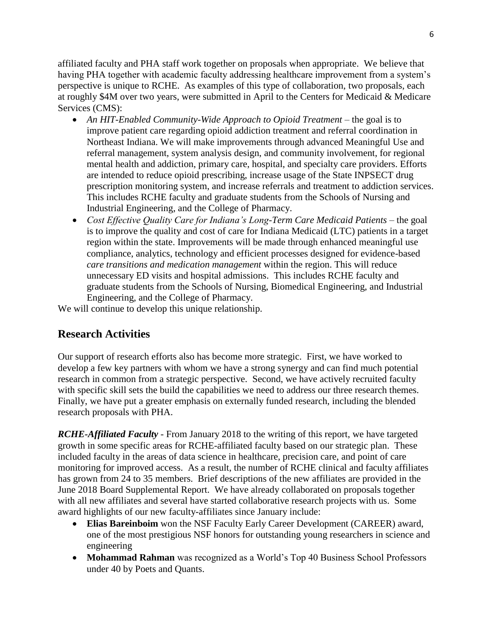affiliated faculty and PHA staff work together on proposals when appropriate. We believe that having PHA together with academic faculty addressing healthcare improvement from a system's perspective is unique to RCHE. As examples of this type of collaboration, two proposals, each at roughly \$4M over two years, were submitted in April to the Centers for Medicaid & Medicare Services (CMS):

- An HIT-Enabled Community-Wide Approach to Opioid Treatment the goal is to improve patient care regarding opioid addiction treatment and referral coordination in Northeast Indiana. We will make improvements through advanced Meaningful Use and referral management, system analysis design, and community involvement, for regional mental health and addiction, primary care, hospital, and specialty care providers. Efforts are intended to reduce opioid prescribing, increase usage of the State INPSECT drug prescription monitoring system, and increase referrals and treatment to addiction services. This includes RCHE faculty and graduate students from the Schools of Nursing and Industrial Engineering, and the College of Pharmacy.
- *Cost Effective Quality Care for Indiana's Long-Term Care Medicaid Patients* the goal is to improve the quality and cost of care for Indiana Medicaid (LTC) patients in a target region within the state. Improvements will be made through enhanced meaningful use compliance, analytics, technology and efficient processes designed for evidence-based *care transitions and medication management* within the region. This will reduce unnecessary ED visits and hospital admissions. This includes RCHE faculty and graduate students from the Schools of Nursing, Biomedical Engineering, and Industrial Engineering, and the College of Pharmacy.

We will continue to develop this unique relationship.

#### **Research Activities**

Our support of research efforts also has become more strategic. First, we have worked to develop a few key partners with whom we have a strong synergy and can find much potential research in common from a strategic perspective. Second, we have actively recruited faculty with specific skill sets the build the capabilities we need to address our three research themes. Finally, we have put a greater emphasis on externally funded research, including the blended research proposals with PHA.

*RCHE-Affiliated Faculty* - From January 2018 to the writing of this report, we have targeted growth in some specific areas for RCHE-affiliated faculty based on our strategic plan. These included faculty in the areas of data science in healthcare, precision care, and point of care monitoring for improved access. As a result, the number of RCHE clinical and faculty affiliates has grown from 24 to 35 members. Brief descriptions of the new affiliates are provided in the June 2018 Board Supplemental Report. We have already collaborated on proposals together with all new affiliates and several have started collaborative research projects with us. Some award highlights of our new faculty-affiliates since January include:

- **Elias Bareinboim** won the NSF Faculty Early Career Development (CAREER) award, one of the most prestigious NSF honors for outstanding young researchers in science and engineering
- **Mohammad Rahman** was recognized as a World's Top 40 Business School Professors under 40 by Poets and Quants.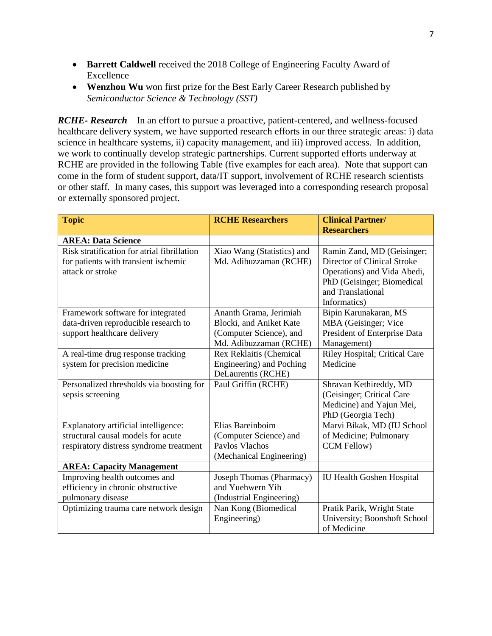- **Barrett Caldwell** received the 2018 College of Engineering Faculty Award of Excellence
- **Wenzhou Wu** won first prize for the Best Early Career Research published by *Semiconductor Science & Technology (SST)*

*RCHE- Research* – In an effort to pursue a proactive, patient-centered, and wellness-focused healthcare delivery system, we have supported research efforts in our three strategic areas: i) data science in healthcare systems, ii) capacity management, and iii) improved access. In addition, we work to continually develop strategic partnerships. Current supported efforts underway at RCHE are provided in the following Table (five examples for each area). Note that support can come in the form of student support, data/IT support, involvement of RCHE research scientists or other staff. In many cases, this support was leveraged into a corresponding research proposal or externally sponsored project.

| <b>Topic</b>                                | <b>RCHE Researchers</b>    | <b>Clinical Partner/</b>         |  |
|---------------------------------------------|----------------------------|----------------------------------|--|
|                                             |                            | <b>Researchers</b>               |  |
| <b>AREA: Data Science</b>                   |                            |                                  |  |
| Risk stratification for atrial fibrillation | Xiao Wang (Statistics) and | Ramin Zand, MD (Geisinger;       |  |
| for patients with transient ischemic        | Md. Adibuzzaman (RCHE)     | Director of Clinical Stroke      |  |
| attack or stroke                            |                            | Operations) and Vida Abedi,      |  |
|                                             |                            | PhD (Geisinger; Biomedical       |  |
|                                             |                            | and Translational                |  |
|                                             |                            | Informatics)                     |  |
| Framework software for integrated           | Ananth Grama, Jerimiah     | Bipin Karunakaran, MS            |  |
| data-driven reproducible research to        | Blocki, and Aniket Kate    | MBA (Geisinger; Vice             |  |
| support healthcare delivery                 | (Computer Science), and    | President of Enterprise Data     |  |
|                                             | Md. Adibuzzaman (RCHE)     | Management)                      |  |
| A real-time drug response tracking          | Rex Reklaitis (Chemical    | Riley Hospital; Critical Care    |  |
| system for precision medicine               | Engineering) and Poching   | Medicine                         |  |
|                                             | DeLaurentis (RCHE)         |                                  |  |
| Personalized thresholds via boosting for    | Paul Griffin (RCHE)        | Shravan Kethireddy, MD           |  |
| sepsis screening                            |                            | (Geisinger; Critical Care        |  |
|                                             |                            | Medicine) and Yajun Mei,         |  |
|                                             |                            | PhD (Georgia Tech)               |  |
| Explanatory artificial intelligence:        | Elias Bareinboim           | Marvi Bikak, MD (IU School       |  |
| structural causal models for acute          | (Computer Science) and     | of Medicine; Pulmonary           |  |
| respiratory distress syndrome treatment     | Pavlos Vlachos             | CCM Fellow)                      |  |
|                                             | (Mechanical Engineering)   |                                  |  |
| <b>AREA: Capacity Management</b>            |                            |                                  |  |
| Improving health outcomes and               | Joseph Thomas (Pharmacy)   | <b>IU Health Goshen Hospital</b> |  |
| efficiency in chronic obstructive           | and Yuehwern Yih           |                                  |  |
| pulmonary disease                           | (Industrial Engineering)   |                                  |  |
| Optimizing trauma care network design       | Nan Kong (Biomedical       | Pratik Parik, Wright State       |  |
|                                             | Engineering)               | University; Boonshoft School     |  |
|                                             |                            | of Medicine                      |  |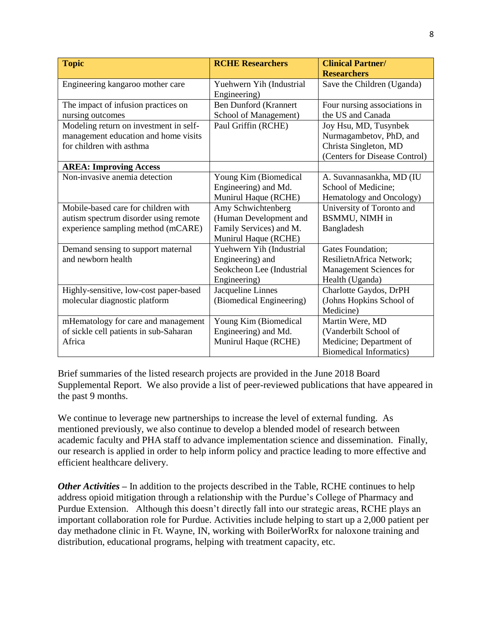| <b>Topic</b>                           | <b>RCHE Researchers</b>      | <b>Clinical Partner/</b><br><b>Researchers</b> |
|----------------------------------------|------------------------------|------------------------------------------------|
|                                        |                              |                                                |
| Engineering kangaroo mother care       | Yuehwern Yih (Industrial     | Save the Children (Uganda)                     |
|                                        | Engineering)                 |                                                |
| The impact of infusion practices on    | <b>Ben Dunford (Krannert</b> | Four nursing associations in                   |
| nursing outcomes                       | School of Management)        | the US and Canada                              |
| Modeling return on investment in self- | Paul Griffin (RCHE)          | Joy Hsu, MD, Tusynbek                          |
| management education and home visits   |                              | Nurmagambetov, PhD, and                        |
| for children with asthma               |                              | Christa Singleton, MD                          |
|                                        |                              | (Centers for Disease Control)                  |
| <b>AREA: Improving Access</b>          |                              |                                                |
| Non-invasive anemia detection          | Young Kim (Biomedical        | A. Suvannasankha, MD (IU                       |
|                                        | Engineering) and Md.         | School of Medicine;                            |
|                                        | Munirul Haque (RCHE)         | Hematology and Oncology)                       |
| Mobile-based care for children with    | Amy Schwichtenberg           | University of Toronto and                      |
| autism spectrum disorder using remote  | (Human Development and       | <b>BSMMU, NIMH</b> in                          |
| experience sampling method (mCARE)     | Family Services) and M.      | Bangladesh                                     |
|                                        | Munirul Haque (RCHE)         |                                                |
| Demand sensing to support maternal     | Yuehwern Yih (Industrial     | Gates Foundation;                              |
| and newborn health                     | Engineering) and             | ResilietnAfrica Network;                       |
|                                        | Seokcheon Lee (Industrial    | Management Sciences for                        |
|                                        | Engineering)                 | Health (Uganda)                                |
| Highly-sensitive, low-cost paper-based | Jacqueline Linnes            | Charlotte Gaydos, DrPH                         |
| molecular diagnostic platform          | (Biomedical Engineering)     | (Johns Hopkins School of                       |
|                                        |                              | Medicine)                                      |
| mHematology for care and management    | Young Kim (Biomedical        | Martin Were, MD                                |
| of sickle cell patients in sub-Saharan | Engineering) and Md.         | (Vanderbilt School of                          |
| Africa                                 | Munirul Haque (RCHE)         | Medicine; Department of                        |
|                                        |                              | <b>Biomedical Informatics)</b>                 |

Brief summaries of the listed research projects are provided in the June 2018 Board Supplemental Report. We also provide a list of peer-reviewed publications that have appeared in the past 9 months.

We continue to leverage new partnerships to increase the level of external funding. As mentioned previously, we also continue to develop a blended model of research between academic faculty and PHA staff to advance implementation science and dissemination. Finally, our research is applied in order to help inform policy and practice leading to more effective and efficient healthcare delivery.

*Other Activities* – In addition to the projects described in the Table, RCHE continues to help address opioid mitigation through a relationship with the Purdue's College of Pharmacy and Purdue Extension. Although this doesn't directly fall into our strategic areas, RCHE plays an important collaboration role for Purdue. Activities include helping to start up a 2,000 patient per day methadone clinic in Ft. Wayne, IN, working with BoilerWorRx for naloxone training and distribution, educational programs, helping with treatment capacity, etc.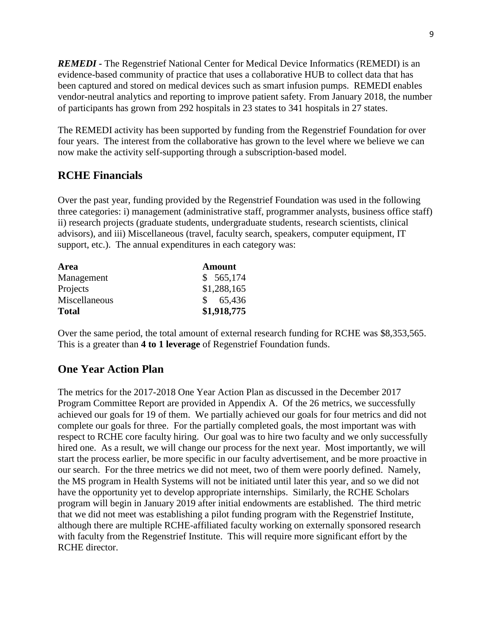*REMEDI* - The Regenstrief National Center for Medical Device Informatics (REMEDI) is an evidence-based community of practice that uses a collaborative HUB to collect data that has been captured and stored on medical devices such as smart infusion pumps. REMEDI enables vendor-neutral analytics and reporting to improve patient safety. From January 2018, the number of participants has grown from 292 hospitals in 23 states to 341 hospitals in 27 states.

The REMEDI activity has been supported by funding from the Regenstrief Foundation for over four years. The interest from the collaborative has grown to the level where we believe we can now make the activity self-supporting through a subscription-based model.

#### **RCHE Financials**

Over the past year, funding provided by the Regenstrief Foundation was used in the following three categories: i) management (administrative staff, programmer analysts, business office staff) ii) research projects (graduate students, undergraduate students, research scientists, clinical advisors), and iii) Miscellaneous (travel, faculty search, speakers, computer equipment, IT support, etc.). The annual expenditures in each category was:

| Area          | <b>Amount</b> |
|---------------|---------------|
| Management    | \$565,174     |
| Projects      | \$1,288,165   |
| Miscellaneous | \$65,436      |
| <b>Total</b>  | \$1,918,775   |

Over the same period, the total amount of external research funding for RCHE was \$8,353,565. This is a greater than **4 to 1 leverage** of Regenstrief Foundation funds.

#### **One Year Action Plan**

The metrics for the 2017-2018 One Year Action Plan as discussed in the December 2017 Program Committee Report are provided in Appendix A. Of the 26 metrics, we successfully achieved our goals for 19 of them. We partially achieved our goals for four metrics and did not complete our goals for three. For the partially completed goals, the most important was with respect to RCHE core faculty hiring. Our goal was to hire two faculty and we only successfully hired one. As a result, we will change our process for the next year. Most importantly, we will start the process earlier, be more specific in our faculty advertisement, and be more proactive in our search. For the three metrics we did not meet, two of them were poorly defined. Namely, the MS program in Health Systems will not be initiated until later this year, and so we did not have the opportunity yet to develop appropriate internships. Similarly, the RCHE Scholars program will begin in January 2019 after initial endowments are established. The third metric that we did not meet was establishing a pilot funding program with the Regenstrief Institute, although there are multiple RCHE-affiliated faculty working on externally sponsored research with faculty from the Regenstrief Institute. This will require more significant effort by the RCHE director.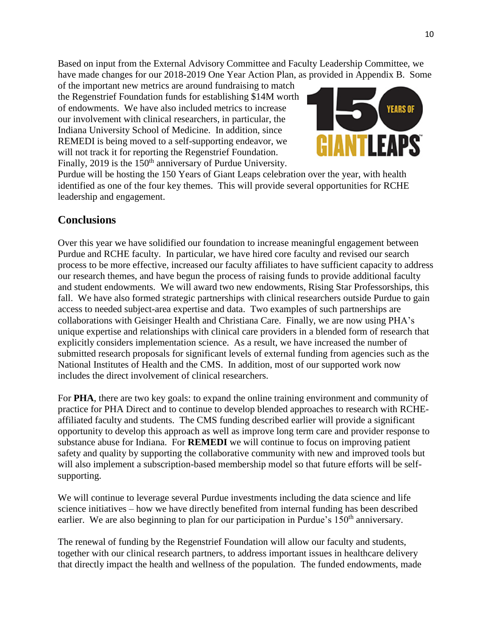Based on input from the External Advisory Committee and Faculty Leadership Committee, we have made changes for our 2018-2019 One Year Action Plan, as provided in Appendix B. Some

of the important new metrics are around fundraising to match the Regenstrief Foundation funds for establishing \$14M worth of endowments. We have also included metrics to increase our involvement with clinical researchers, in particular, the Indiana University School of Medicine. In addition, since REMEDI is being moved to a self-supporting endeavor, we will not track it for reporting the Regenstrief Foundation. Finally, 2019 is the 150<sup>th</sup> anniversary of Purdue University.



Purdue will be hosting the 150 Years of Giant Leaps celebration over the year, with health identified as one of the four key themes. This will provide several opportunities for RCHE leadership and engagement.

#### **Conclusions**

Over this year we have solidified our foundation to increase meaningful engagement between Purdue and RCHE faculty. In particular, we have hired core faculty and revised our search process to be more effective, increased our faculty affiliates to have sufficient capacity to address our research themes, and have begun the process of raising funds to provide additional faculty and student endowments. We will award two new endowments, Rising Star Professorships, this fall. We have also formed strategic partnerships with clinical researchers outside Purdue to gain access to needed subject-area expertise and data. Two examples of such partnerships are collaborations with Geisinger Health and Christiana Care. Finally, we are now using PHA's unique expertise and relationships with clinical care providers in a blended form of research that explicitly considers implementation science. As a result, we have increased the number of submitted research proposals for significant levels of external funding from agencies such as the National Institutes of Health and the CMS. In addition, most of our supported work now includes the direct involvement of clinical researchers.

For **PHA**, there are two key goals: to expand the online training environment and community of practice for PHA Direct and to continue to develop blended approaches to research with RCHEaffiliated faculty and students. The CMS funding described earlier will provide a significant opportunity to develop this approach as well as improve long term care and provider response to substance abuse for Indiana. For **REMEDI** we will continue to focus on improving patient safety and quality by supporting the collaborative community with new and improved tools but will also implement a subscription-based membership model so that future efforts will be selfsupporting.

We will continue to leverage several Purdue investments including the data science and life science initiatives – how we have directly benefited from internal funding has been described earlier. We are also beginning to plan for our participation in Purdue's 150<sup>th</sup> anniversary.

The renewal of funding by the Regenstrief Foundation will allow our faculty and students, together with our clinical research partners, to address important issues in healthcare delivery that directly impact the health and wellness of the population. The funded endowments, made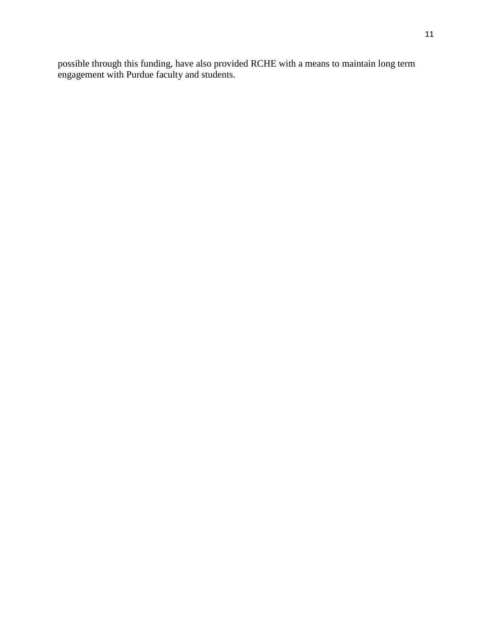possible through this funding, have also provided RCHE with a means to maintain long term engagement with Purdue faculty and students.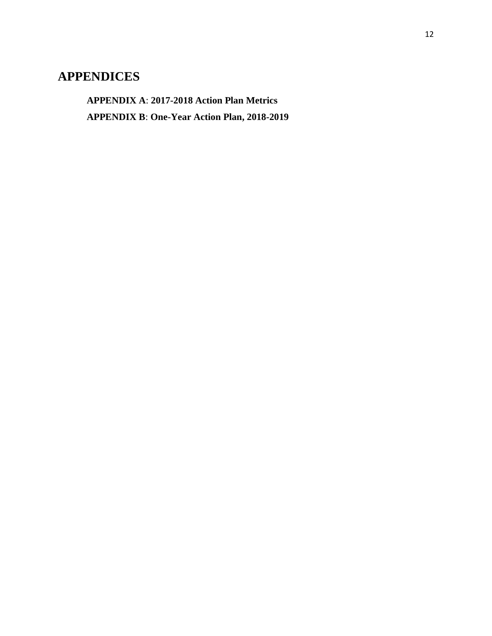#### **APPENDICES**

**APPENDIX A**: **2017-2018 Action Plan Metrics APPENDIX B**: **One-Year Action Plan, 2018-2019**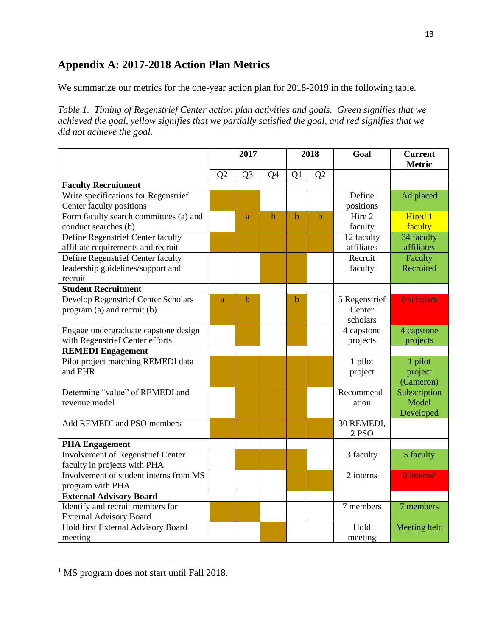#### **Appendix A: 2017-2018 Action Plan Metrics**

We summarize our metrics for the one-year action plan for 2018-2019 in the following table.

*Table 1. Timing of Regenstrief Center action plan activities and goals. Green signifies that we achieved the goal, yellow signifies that we partially satisfied the goal, and red signifies that we did not achieve the goal.*

|                                            | 2017           |                | 2018 |    | Goal           | <b>Current</b><br><b>Metric</b> |                        |
|--------------------------------------------|----------------|----------------|------|----|----------------|---------------------------------|------------------------|
|                                            | Q <sub>2</sub> | Q <sub>3</sub> | Q4   | Q1 | Q <sub>2</sub> |                                 |                        |
| <b>Faculty Recruitment</b>                 |                |                |      |    |                |                                 |                        |
| Write specifications for Regenstrief       |                |                |      |    |                | Define                          | Ad placed              |
| Center faculty positions                   |                |                |      |    |                | positions                       |                        |
| Form faculty search committees (a) and     |                | a              | b    | b  | $\mathbf b$    | Hire 2                          | <b>Hired 1</b>         |
| conduct searches (b)                       |                |                |      |    |                | faculty                         | faculty                |
| Define Regenstrief Center faculty          |                |                |      |    |                | 12 faculty                      | 34 faculty             |
| affiliate requirements and recruit         |                |                |      |    |                | affiliates                      | affiliates             |
| Define Regenstrief Center faculty          |                |                |      |    |                | Recruit                         | Faculty                |
| leadership guidelines/support and          |                |                |      |    |                | faculty                         | Recruited              |
| recruit                                    |                |                |      |    |                |                                 |                        |
| <b>Student Recruitment</b>                 |                |                |      |    |                |                                 |                        |
| <b>Develop Regenstrief Center Scholars</b> | a              | $\mathbf b$    |      | b  |                | 5 Regenstrief                   | 0 scholars             |
| program (a) and recruit (b)                |                |                |      |    |                | Center                          |                        |
|                                            |                |                |      |    |                | scholars                        |                        |
| Engage undergraduate capstone design       |                |                |      |    |                | 4 capstone                      | 4 capstone             |
| with Regenstrief Center efforts            |                |                |      |    |                | projects                        | projects               |
| <b>REMEDI</b> Engagement                   |                |                |      |    |                |                                 |                        |
| Pilot project matching REMEDI data         |                |                |      |    |                | 1 pilot                         | 1 pilot                |
| and EHR                                    |                |                |      |    |                | project                         | project                |
|                                            |                |                |      |    |                |                                 | (Cameron)              |
| Determine "value" of REMEDI and            |                |                |      |    |                | Recommend-                      | Subscription           |
| revenue model                              |                |                |      |    |                | ation                           | Model                  |
|                                            |                |                |      |    |                |                                 | Developed              |
| Add REMEDI and PSO members                 |                |                |      |    |                | 30 REMEDI,                      |                        |
|                                            |                |                |      |    |                | 2 PSO                           |                        |
| <b>PHA Engagement</b>                      |                |                |      |    |                |                                 |                        |
| Involvement of Regenstrief Center          |                |                |      |    |                | 3 faculty                       | 5 faculty              |
| faculty in projects with PHA               |                |                |      |    |                |                                 |                        |
| Involvement of student interns from MS     |                |                |      |    |                | $\overline{2}$ interns          | 0 interns <sup>1</sup> |
| program with PHA                           |                |                |      |    |                |                                 |                        |
| <b>External Advisory Board</b>             |                |                |      |    |                |                                 |                        |
| Identify and recruit members for           |                |                |      |    |                | 7 members                       | 7 members              |
| <b>External Advisory Board</b>             |                |                |      |    |                |                                 |                        |
| Hold first External Advisory Board         |                |                |      |    |                | Hold                            | Meeting held           |
| meeting                                    |                |                |      |    |                | meeting                         |                        |

<sup>&</sup>lt;sup>1</sup> MS program does not start until Fall 2018.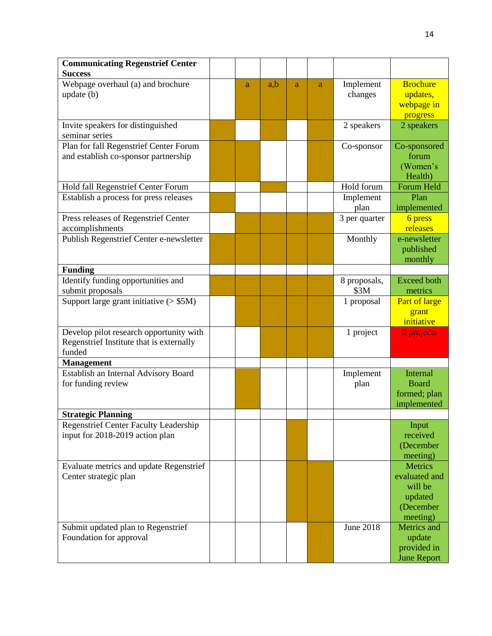| <b>Communicating Regenstrief Center</b>                                         |   |     |   |   |                       |                        |
|---------------------------------------------------------------------------------|---|-----|---|---|-----------------------|------------------------|
| <b>Success</b>                                                                  |   |     |   |   |                       |                        |
| Webpage overhaul (a) and brochure                                               | a | a,b | a | a | Implement             | <b>Brochure</b>        |
| update (b)                                                                      |   |     |   |   | changes               | updates,               |
|                                                                                 |   |     |   |   |                       | webpage in             |
|                                                                                 |   |     |   |   |                       | progress               |
| Invite speakers for distinguished                                               |   |     |   |   | 2 speakers            | 2 speakers             |
| seminar series                                                                  |   |     |   |   |                       |                        |
| Plan for fall Regenstrief Center Forum                                          |   |     |   |   | Co-sponsor            | Co-sponsored           |
| and establish co-sponsor partnership                                            |   |     |   |   |                       | forum                  |
|                                                                                 |   |     |   |   |                       | (Women's               |
|                                                                                 |   |     |   |   | Hold forum            | Health)                |
| Hold fall Regenstrief Center Forum                                              |   |     |   |   |                       | Forum Held<br>Plan     |
| Establish a process for press releases                                          |   |     |   |   | Implement             |                        |
| Press releases of Regenstrief Center                                            |   |     |   |   | plan<br>3 per quarter | implemented<br>6 press |
| accomplishments                                                                 |   |     |   |   |                       | releases               |
| Publish Regenstrief Center e-newsletter                                         |   |     |   |   | Monthly               | e-newsletter           |
|                                                                                 |   |     |   |   |                       | published              |
|                                                                                 |   |     |   |   |                       | monthly                |
| <b>Funding</b>                                                                  |   |     |   |   |                       |                        |
| Identify funding opportunities and                                              |   |     |   |   | 8 proposals,          | <b>Exceed both</b>     |
| submit proposals                                                                |   |     |   |   | \$3M                  | metrics                |
| Support large grant initiative $($ > \$5M)                                      |   |     |   |   | 1 proposal            | Part of large          |
|                                                                                 |   |     |   |   |                       | grant                  |
|                                                                                 |   |     |   |   |                       | initiative             |
| Develop pilot research opportunity with                                         |   |     |   |   | 1 project             | 0 projects             |
| Regenstrief Institute that is externally                                        |   |     |   |   |                       |                        |
| funded                                                                          |   |     |   |   |                       |                        |
| <b>Management</b>                                                               |   |     |   |   |                       |                        |
| Establish an Internal Advisory Board                                            |   |     |   |   | Implement             | <b>Internal</b>        |
| for funding review                                                              |   |     |   |   | plan                  | <b>Board</b>           |
|                                                                                 |   |     |   |   |                       | formed; plan           |
|                                                                                 |   |     |   |   |                       | implemented            |
| <b>Strategic Planning</b>                                                       |   |     |   |   |                       |                        |
| <b>Regenstrief Center Faculty Leadership</b><br>input for 2018-2019 action plan |   |     |   |   |                       | Input<br>received      |
|                                                                                 |   |     |   |   |                       | (December              |
|                                                                                 |   |     |   |   |                       | meeting)               |
| Evaluate metrics and update Regenstrief                                         |   |     |   |   |                       | <b>Metrics</b>         |
| Center strategic plan                                                           |   |     |   |   |                       | evaluated and          |
|                                                                                 |   |     |   |   |                       | will be                |
|                                                                                 |   |     |   |   |                       | updated                |
|                                                                                 |   |     |   |   |                       | (December              |
|                                                                                 |   |     |   |   |                       | meeting)               |
| Submit updated plan to Regenstrief                                              |   |     |   |   | June 2018             | Metrics and            |
| Foundation for approval                                                         |   |     |   |   |                       | update                 |
|                                                                                 |   |     |   |   |                       | provided in            |
|                                                                                 |   |     |   |   |                       | <b>June Report</b>     |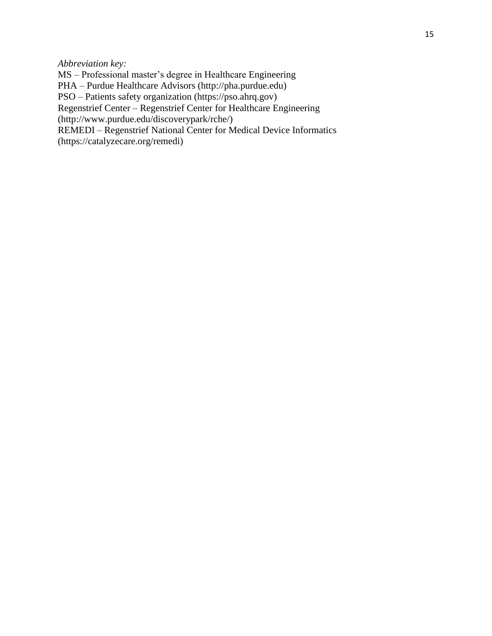*Abbreviation key:*

MS – Professional master's degree in Healthcare Engineering

PHA – Purdue Healthcare Advisors (http://pha.purdue.edu)

PSO – Patients safety organization (https://pso.ahrq.gov)

Regenstrief Center – Regenstrief Center for Healthcare Engineering

(http://www.purdue.edu/discoverypark/rche/)

REMEDI – Regenstrief National Center for Medical Device Informatics

(https://catalyzecare.org/remedi)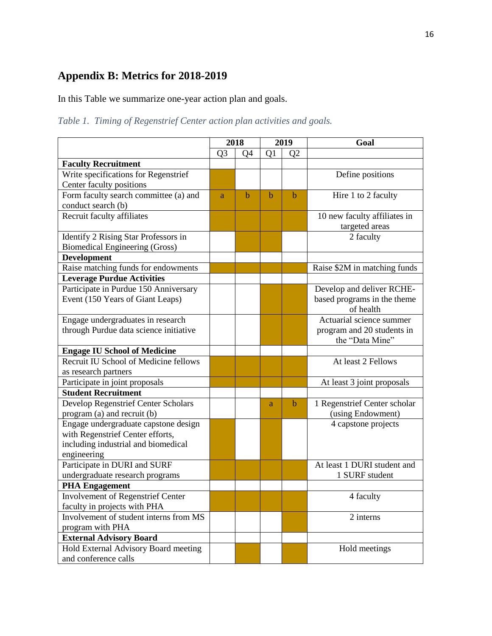#### **Appendix B: Metrics for 2018-2019**

In this Table we summarize one-year action plan and goals.

*Table 1. Timing of Regenstrief Center action plan activities and goals.* 

|                                                                                                                                |                | 2018        | 2019        |                | Goal                                                                  |
|--------------------------------------------------------------------------------------------------------------------------------|----------------|-------------|-------------|----------------|-----------------------------------------------------------------------|
|                                                                                                                                | Q <sub>3</sub> | Q4          | Q1          | Q <sub>2</sub> |                                                                       |
| <b>Faculty Recruitment</b>                                                                                                     |                |             |             |                |                                                                       |
| Write specifications for Regenstrief                                                                                           |                |             |             |                | Define positions                                                      |
| Center faculty positions                                                                                                       |                |             |             |                |                                                                       |
| Form faculty search committee (a) and                                                                                          | a              | $\mathbf b$ | $\mathbf b$ | b              | Hire 1 to 2 faculty                                                   |
| conduct search (b)                                                                                                             |                |             |             |                |                                                                       |
| Recruit faculty affiliates                                                                                                     |                |             |             |                | 10 new faculty affiliates in<br>targeted areas                        |
| Identify 2 Rising Star Professors in                                                                                           |                |             |             |                | 2 faculty                                                             |
| <b>Biomedical Engineering (Gross)</b>                                                                                          |                |             |             |                |                                                                       |
| <b>Development</b>                                                                                                             |                |             |             |                |                                                                       |
| Raise matching funds for endowments                                                                                            |                |             |             |                | Raise \$2M in matching funds                                          |
| <b>Leverage Purdue Activities</b>                                                                                              |                |             |             |                |                                                                       |
| Participate in Purdue 150 Anniversary<br>Event (150 Years of Giant Leaps)                                                      |                |             |             |                | Develop and deliver RCHE-<br>based programs in the theme<br>of health |
| Engage undergraduates in research                                                                                              |                |             |             |                | Actuarial science summer                                              |
| through Purdue data science initiative                                                                                         |                |             |             |                | program and 20 students in<br>the "Data Mine"                         |
| <b>Engage IU School of Medicine</b>                                                                                            |                |             |             |                |                                                                       |
| Recruit IU School of Medicine fellows                                                                                          |                |             |             |                | At least 2 Fellows                                                    |
| as research partners                                                                                                           |                |             |             |                |                                                                       |
| Participate in joint proposals                                                                                                 |                |             |             |                | At least 3 joint proposals                                            |
| <b>Student Recruitment</b>                                                                                                     |                |             |             |                |                                                                       |
| <b>Develop Regenstrief Center Scholars</b><br>program (a) and recruit (b)                                                      |                |             | a           | b              | 1 Regenstrief Center scholar<br>(using Endowment)                     |
| Engage undergraduate capstone design<br>with Regenstrief Center efforts,<br>including industrial and biomedical<br>engineering |                |             |             |                | 4 capstone projects                                                   |
| Participate in DURI and SURF                                                                                                   |                |             |             |                | At least 1 DURI student and                                           |
| undergraduate research programs                                                                                                |                |             |             |                | 1 SURF student                                                        |
| <b>PHA Engagement</b>                                                                                                          |                |             |             |                |                                                                       |
| Involvement of Regenstrief Center<br>faculty in projects with PHA                                                              |                |             |             |                | 4 faculty                                                             |
| Involvement of student interns from MS                                                                                         |                |             |             |                | 2 interns                                                             |
| program with PHA<br><b>External Advisory Board</b>                                                                             |                |             |             |                |                                                                       |
|                                                                                                                                |                |             |             |                | Hold meetings                                                         |
| Hold External Advisory Board meeting<br>and conference calls                                                                   |                |             |             |                |                                                                       |